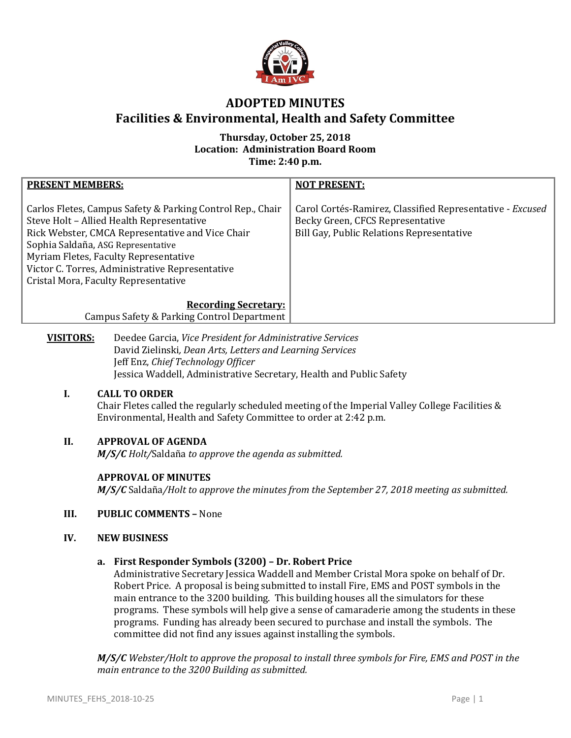

# **ADOPTED MINUTES Facilities & Environmental, Health and Safety Committee**

## **Thursday, October 25, 2018 Location: Administration Board Room Time: 2:40 p.m.**

| <b>PRESENT MEMBERS:</b>                                                                                                                                                                                                                                                                                                               | <b>NOT PRESENT:</b>                                                                                                                        |
|---------------------------------------------------------------------------------------------------------------------------------------------------------------------------------------------------------------------------------------------------------------------------------------------------------------------------------------|--------------------------------------------------------------------------------------------------------------------------------------------|
| Carlos Fletes, Campus Safety & Parking Control Rep., Chair<br>Steve Holt - Allied Health Representative<br>Rick Webster, CMCA Representative and Vice Chair<br>Sophia Saldaña, ASG Representative<br>Myriam Fletes, Faculty Representative<br>Victor C. Torres, Administrative Representative<br>Cristal Mora, Faculty Representative | Carol Cortés-Ramirez, Classified Representative - Excused<br>Becky Green, CFCS Representative<br>Bill Gay, Public Relations Representative |
| <b>Recording Secretary:</b><br>Campus Safety & Parking Control Department                                                                                                                                                                                                                                                             |                                                                                                                                            |
| Doodoo Carcia, <i>Vice President for Administrative Services</i><br>VICITADC.                                                                                                                                                                                                                                                         |                                                                                                                                            |

**VISITORS:** Deedee Garcia, *Vice President for Administrative Services* David Zielinski*, Dean Arts, Letters and Learning Services* Jeff Enz, *Chief Technology Officer* Jessica Waddell, Administrative Secretary, Health and Public Safety

### **I. CALL TO ORDER**

Chair Fletes called the regularly scheduled meeting of the Imperial Valley College Facilities & Environmental, Health and Safety Committee to order at 2:42 p.m.

## **II. APPROVAL OF AGENDA**

*M/S/C Holt/*Saldaña *to approve the agenda as submitted.*

## **APPROVAL OF MINUTES**

*M/S/C* Saldaña*/Holt to approve the minutes from the September 27, 2018 meeting as submitted.*

## **III. PUBLIC COMMENTS –** None

### **IV. NEW BUSINESS**

### **a. First Responder Symbols (3200) – Dr. Robert Price**

Administrative Secretary Jessica Waddell and Member Cristal Mora spoke on behalf of Dr. Robert Price. A proposal is being submitted to install Fire, EMS and POST symbols in the main entrance to the 3200 building. This building houses all the simulators for these programs. These symbols will help give a sense of camaraderie among the students in these programs. Funding has already been secured to purchase and install the symbols. The committee did not find any issues against installing the symbols.

*M/S/C Webster/Holt to approve the proposal to install three symbols for Fire, EMS and POST in the main entrance to the 3200 Building as submitted.*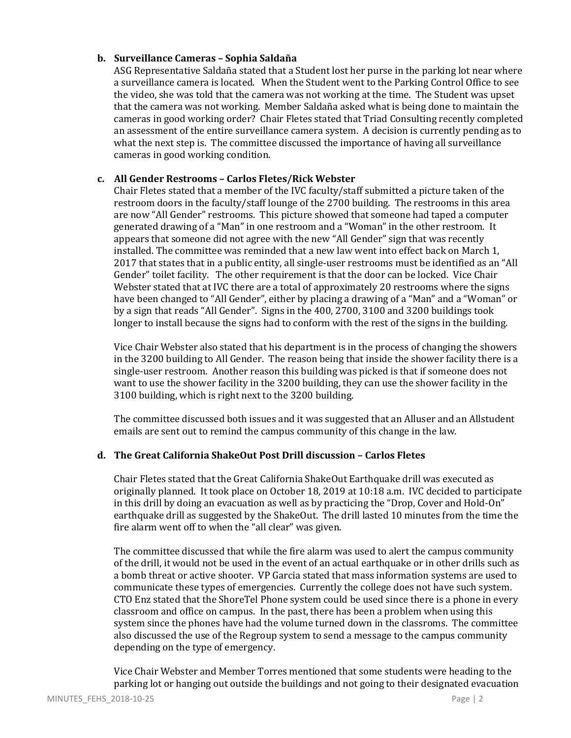## **b. Surveillance Cameras – Sophia Saldaña**

ASG Representative Saldaña stated that a Student lost her purse in the parking lot near where a surveillance camera is located. When the Student went to the Parking Control Office to see the video, she was told that the camera was not working at the time. The Student was upset that the camera was not working. Member Saldaña asked what is being done to maintain the cameras in good working order? Chair Fletes stated that Triad Consulting recently completed an assessment of the entire surveillance camera system. A decision is currently pending as to what the next step is. The committee discussed the importance of having all surveillance cameras in good working condition.

## **c. All Gender Restrooms – Carlos Fletes/Rick Webster**

Chair Fletes stated that a member of the IVC faculty/staff submitted a picture taken of the restroom doors in the faculty/staff lounge of the 2700 building. The restrooms in this area are now "All Gender" restrooms. This picture showed that someone had taped a computer generated drawing of a "Man" in one restroom and a "Woman" in the other restroom. It appears that someone did not agree with the new "All Gender" sign that was recently installed. The committee was reminded that a new law went into effect back on March 1, 2017 that states that in a public entity, all single-user restrooms must be identified as an "All Gender" toilet facility. The other requirement is that the door can be locked. Vice Chair Webster stated that at IVC there are a total of approximately 20 restrooms where the signs have been changed to "All Gender", either by placing a drawing of a "Man" and a "Woman" or by a sign that reads "All Gender". Signs in the 400, 2700, 3100 and 3200 buildings took longer to install because the signs had to conform with the rest of the signs in the building.

Vice Chair Webster also stated that his department is in the process of changing the showers in the 3200 building to All Gender. The reason being that inside the shower facility there is a single-user restroom. Another reason this building was picked is that if someone does not want to use the shower facility in the 3200 building, they can use the shower facility in the 3100 building, which is right next to the 3200 building.

The committee discussed both issues and it was suggested that an Alluser and an Allstudent emails are sent out to remind the campus community of this change in the law.

### **d. The Great California ShakeOut Post Drill discussion – Carlos Fletes**

Chair Fletes stated that the Great California ShakeOut Earthquake drill was executed as originally planned. It took place on October 18, 2019 at 10:18 a.m. IVC decided to participate in this drill by doing an evacuation as well as by practicing the "Drop, Cover and Hold-On" earthquake drill as suggested by the ShakeOut. The drill lasted 10 minutes from the time the fire alarm went off to when the "all clear" was given.

The committee discussed that while the fire alarm was used to alert the campus community of the drill, it would not be used in the event of an actual earthquake or in other drills such as a bomb threat or active shooter. VP Garcia stated that mass information systems are used to communicate these types of emergencies. Currently the college does not have such system. CTO Enz stated that the ShoreTel Phone system could be used since there is a phone in every classroom and office on campus. In the past, there has been a problem when using this system since the phones have had the volume turned down in the classroms. The committee also discussed the use of the Regroup system to send a message to the campus community depending on the type of emergency.

Vice Chair Webster and Member Torres mentioned that some students were heading to the parking lot or hanging out outside the buildings and not going to their designated evacuation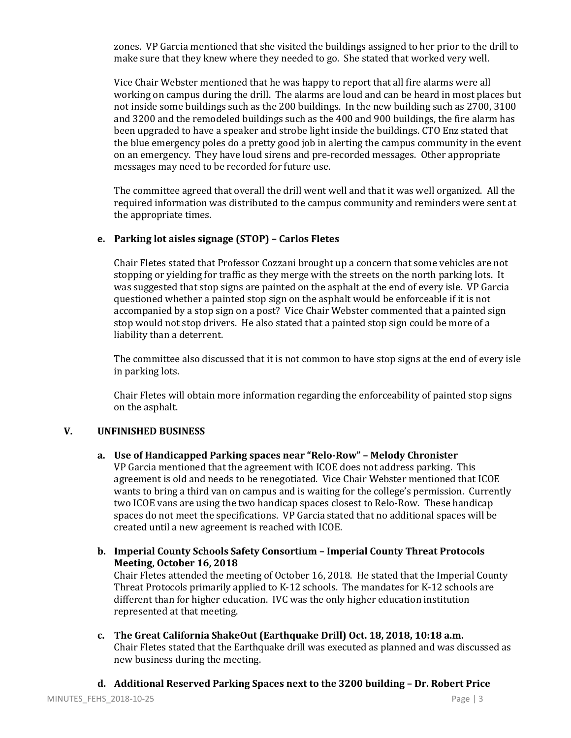zones. VP Garcia mentioned that she visited the buildings assigned to her prior to the drill to make sure that they knew where they needed to go. She stated that worked very well.

Vice Chair Webster mentioned that he was happy to report that all fire alarms were all working on campus during the drill. The alarms are loud and can be heard in most places but not inside some buildings such as the 200 buildings. In the new building such as 2700, 3100 and 3200 and the remodeled buildings such as the 400 and 900 buildings, the fire alarm has been upgraded to have a speaker and strobe light inside the buildings. CTO Enz stated that the blue emergency poles do a pretty good job in alerting the campus community in the event on an emergency. They have loud sirens and pre-recorded messages. Other appropriate messages may need to be recorded for future use.

The committee agreed that overall the drill went well and that it was well organized. All the required information was distributed to the campus community and reminders were sent at the appropriate times.

### **e. Parking lot aisles signage (STOP) – Carlos Fletes**

Chair Fletes stated that Professor Cozzani brought up a concern that some vehicles are not stopping or yielding for traffic as they merge with the streets on the north parking lots. It was suggested that stop signs are painted on the asphalt at the end of every isle. VP Garcia questioned whether a painted stop sign on the asphalt would be enforceable if it is not accompanied by a stop sign on a post? Vice Chair Webster commented that a painted sign stop would not stop drivers. He also stated that a painted stop sign could be more of a liability than a deterrent.

The committee also discussed that it is not common to have stop signs at the end of every isle in parking lots.

Chair Fletes will obtain more information regarding the enforceability of painted stop signs on the asphalt.

### **V. UNFINISHED BUSINESS**

**a. Use of Handicapped Parking spaces near "Relo-Row" – Melody Chronister**

VP Garcia mentioned that the agreement with ICOE does not address parking. This agreement is old and needs to be renegotiated. Vice Chair Webster mentioned that ICOE wants to bring a third van on campus and is waiting for the college's permission. Currently two ICOE vans are using the two handicap spaces closest to Relo-Row. These handicap spaces do not meet the specifications. VP Garcia stated that no additional spaces will be created until a new agreement is reached with ICOE.

- **b. Imperial County Schools Safety Consortium – Imperial County Threat Protocols Meeting, October 16, 2018** Chair Fletes attended the meeting of October 16, 2018. He stated that the Imperial County Threat Protocols primarily applied to K-12 schools. The mandates for K-12 schools are different than for higher education. IVC was the only higher education institution represented at that meeting.
- **c. The Great California ShakeOut (Earthquake Drill) Oct. 18, 2018, 10:18 a.m.** Chair Fletes stated that the Earthquake drill was executed as planned and was discussed as new business during the meeting.
- **d. Additional Reserved Parking Spaces next to the 3200 building – Dr. Robert Price**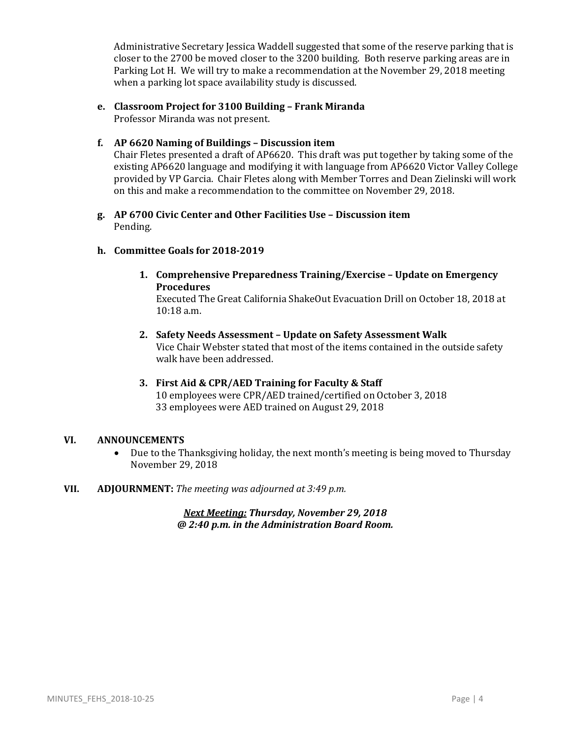Administrative Secretary Jessica Waddell suggested that some of the reserve parking that is closer to the 2700 be moved closer to the 3200 building. Both reserve parking areas are in Parking Lot H. We will try to make a recommendation at the November 29, 2018 meeting when a parking lot space availability study is discussed.

- **e. Classroom Project for 3100 Building – Frank Miranda** Professor Miranda was not present.
- **f. AP 6620 Naming of Buildings – Discussion item**

Chair Fletes presented a draft of AP6620. This draft was put together by taking some of the existing AP6620 language and modifying it with language from AP6620 Victor Valley College provided by VP Garcia. Chair Fletes along with Member Torres and Dean Zielinski will work on this and make a recommendation to the committee on November 29, 2018.

**g. AP 6700 Civic Center and Other Facilities Use – Discussion item** Pending.

#### **h. Committee Goals for 2018-2019**

**1. Comprehensive Preparedness Training/Exercise – Update on Emergency Procedures**

Executed The Great California ShakeOut Evacuation Drill on October 18, 2018 at 10:18 a.m.

- **2. Safety Needs Assessment – Update on Safety Assessment Walk** Vice Chair Webster stated that most of the items contained in the outside safety walk have been addressed.
- **3. First Aid & CPR/AED Training for Faculty & Staff** 10 employees were CPR/AED trained/certified on October 3, 2018 33 employees were AED trained on August 29, 2018

#### **VI. ANNOUNCEMENTS**

- Due to the Thanksgiving holiday, the next month's meeting is being moved to Thursday November 29, 2018
- **VII. ADJOURNMENT:** *The meeting was adjourned at 3:49 p.m.*

*Next Meeting: Thursday, November 29, 2018 @ 2:40 p.m. in the Administration Board Room.*